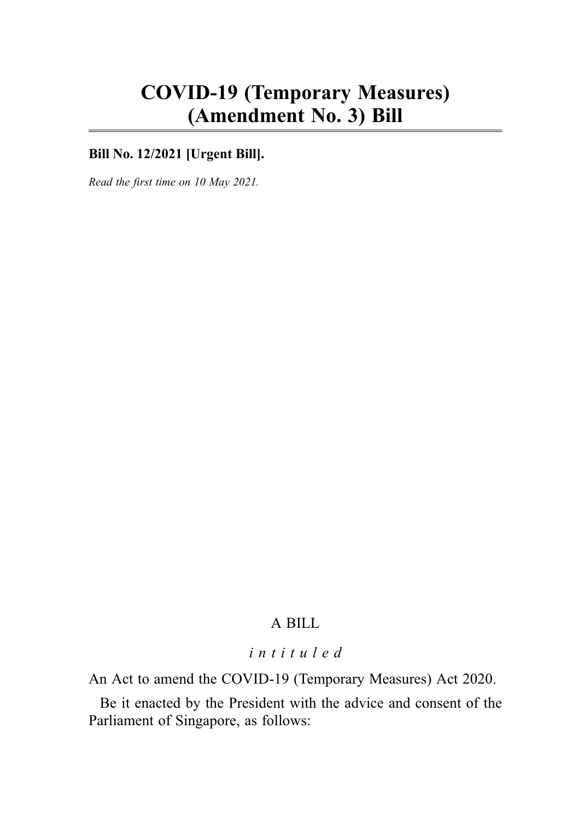# COVID-19 (Temporary Measures) (Amendment No. 3) Bill

# **Bill No. 12/2021 [Urgent Bill].**

Read the first time on 10 May 2021.

# A BILL

## intituled

An Act to amend the COVID-19 (Temporary Measures) Act 2020.

Be it enacted by the President with the advice and consent of the Parliament of Singapore, as follows: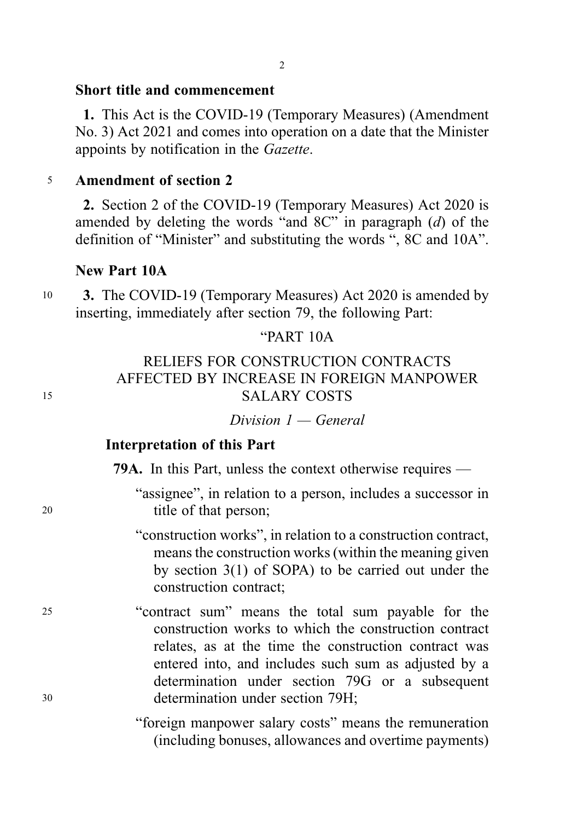## Short title and commencement

1. This Act is the COVID-19 (Temporary Measures) (Amendment No. 3) Act 2021 and comes into operation on a date that the Minister appoints by notification in the Gazette.

### <sup>5</sup> Amendment of section 2

2. Section 2 of the COVID-19 (Temporary Measures) Act 2020 is amended by deleting the words "and 8C" in paragraph (d) of the definition of "Minister" and substituting the words ", 8C and 10A".

# New Part 10A

<sup>10</sup> 3. The COVID-19 (Temporary Measures) Act 2020 is amended by inserting, immediately after section 79, the following Part:

# "PART 10A

# RELIEFS FOR CONSTRUCTION CONTRACTS AFFECTED BY INCREASE IN FOREIGN MANPOWER <sup>15</sup> SALARY COSTS

 $Division I - General$ 

## Interpretation of this Part

79A. In this Part, unless the context otherwise requires —

"assignee", in relation to a person, includes a successor in 20 title of that person;

> "construction works", in relation to a construction contract, means the construction works (within the meaning given by section 3(1) of SOPA) to be carried out under the construction contract;

<sup>25</sup> "contract sum" means the total sum payable for the construction works to which the construction contract relates, as at the time the construction contract was entered into, and includes such sum as adjusted by a determination under section 79G or a subsequent <sup>30</sup> determination under section 79H;

> "foreign manpower salary costs" means the remuneration (including bonuses, allowances and overtime payments)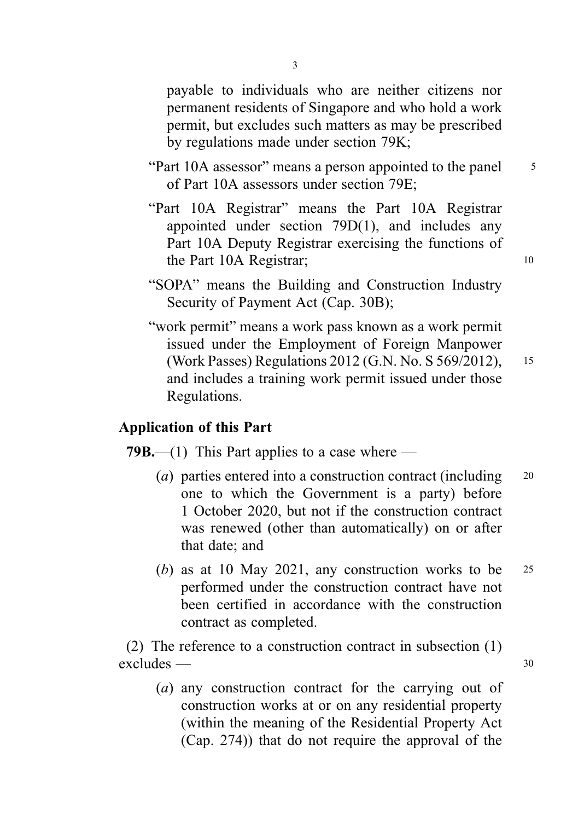payable to individuals who are neither citizens nor permanent residents of Singapore and who hold a work permit, but excludes such matters as may be prescribed by regulations made under section 79K;

- "Part 10A assessor" means a person appointed to the panel <sup>5</sup> of Part 10A assessors under section 79E;
- "Part 10A Registrar" means the Part 10A Registrar appointed under section 79D(1), and includes any Part 10A Deputy Registrar exercising the functions of the Part 10A Registrar; 10
- "SOPA" means the Building and Construction Industry Security of Payment Act (Cap. 30B);
- "work permit" means a work pass known as a work permit issued under the Employment of Foreign Manpower (Work Passes) Regulations 2012 (G.N. No. S 569/2012), <sup>15</sup> and includes a training work permit issued under those Regulations.

### Application of this Part

**79B.**—(1) This Part applies to a case where —

- (a) parties entered into a construction contract (including  $20$ one to which the Government is a party) before 1 October 2020, but not if the construction contract was renewed (other than automatically) on or after that date; and
- (b) as at 10 May 2021, any construction works to be  $25$ performed under the construction contract have not been certified in accordance with the construction contract as completed.

(2) The reference to a construction contract in subsection (1) excludes — 30

(a) any construction contract for the carrying out of construction works at or on any residential property (within the meaning of the Residential Property Act (Cap. 274)) that do not require the approval of the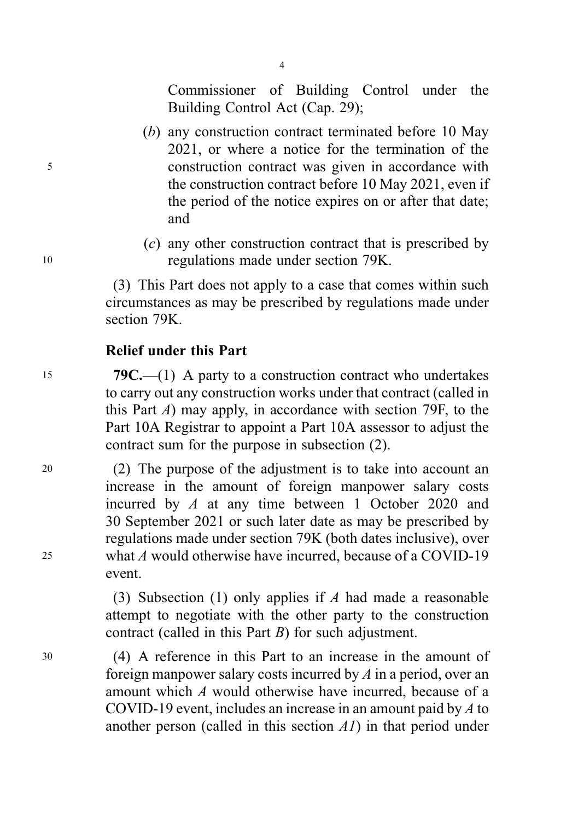Commissioner of Building Control under the Building Control Act (Cap. 29);

4

- (b) any construction contract terminated before 10 May 2021, or where a notice for the termination of the <sup>5</sup> construction contract was given in accordance with the construction contract before 10 May 2021, even if the period of the notice expires on or after that date; and
- (c) any other construction contract that is prescribed by <sup>10</sup> regulations made under section 79K.

(3) This Part does not apply to a case that comes within such circumstances as may be prescribed by regulations made under section 79K.

## Relief under this Part

15 79C.—(1) A party to a construction contract who undertakes to carry out any construction works under that contract (called in this Part  $\Lambda$ ) may apply, in accordance with section 79F, to the Part 10A Registrar to appoint a Part 10A assessor to adjust the contract sum for the purpose in subsection (2).

<sup>20</sup> (2) The purpose of the adjustment is to take into account an increase in the amount of foreign manpower salary costs incurred by A at any time between 1 October 2020 and 30 September 2021 or such later date as may be prescribed by regulations made under section 79K (both dates inclusive), over <sup>25</sup> what A would otherwise have incurred, because of a COVID-19 event.

> (3) Subsection (1) only applies if A had made a reasonable attempt to negotiate with the other party to the construction contract (called in this Part B) for such adjustment.

<sup>30</sup> (4) A reference in this Part to an increase in the amount of foreign manpower salary costs incurred by A in a period, over an amount which A would otherwise have incurred, because of a COVID-19 event, includes an increase in an amount paid by A to another person (called in this section  $AI$ ) in that period under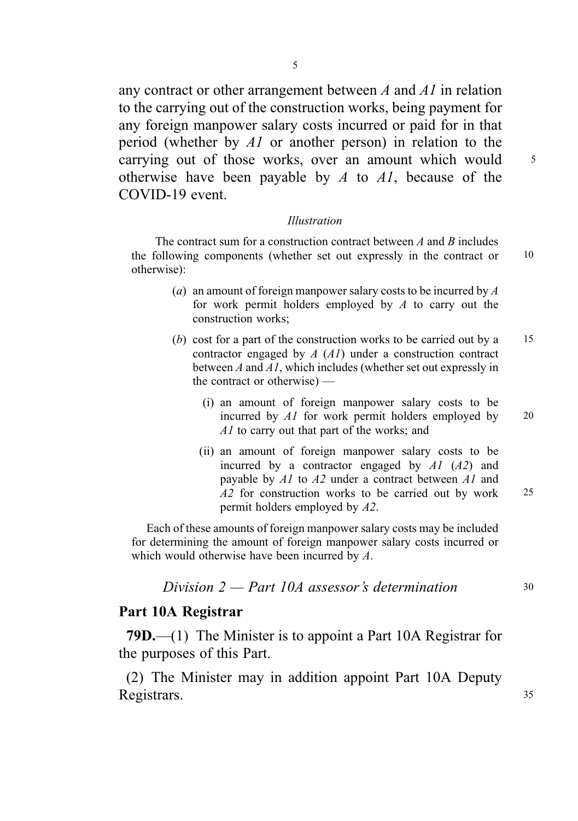any contract or other arrangement between A and A1 in relation to the carrying out of the construction works, being payment for any foreign manpower salary costs incurred or paid for in that period (whether by A1 or another person) in relation to the carrying out of those works, over an amount which would 5 otherwise have been payable by  $A$  to  $AI$ , because of the COVID-19 event.

#### Illustration

The contract sum for a construction contract between  $A$  and  $B$  includes the following components (whether set out expressly in the contract or 10 otherwise):

- (a) an amount of foreign manpower salary costs to be incurred by  $\overline{A}$ for work permit holders employed by  $A$  to carry out the construction works;
- (b) cost for a part of the construction works to be carried out by a  $15$ contractor engaged by A (A1) under a construction contract between A and A1, which includes (whether set out expressly in the contract or otherwise) —
	- (i) an amount of foreign manpower salary costs to be incurred by  $AI$  for work permit holders employed by 20 A1 to carry out that part of the works; and
	- (ii) an amount of foreign manpower salary costs to be incurred by a contractor engaged by  $AI$   $(A2)$  and payable by A1 to A2 under a contract between A1 and A2 for construction works to be carried out by work 25 permit holders employed by A2.

Each of these amounts of foreign manpower salary costs may be included for determining the amount of foreign manpower salary costs incurred or which would otherwise have been incurred by A.

Division  $2$  — Part 10A assessor's determination  $30$ 

### Part 10A Registrar

79D.—(1) The Minister is to appoint a Part 10A Registrar for the purposes of this Part.

(2) The Minister may in addition appoint Part 10A Deputy Registrars. 35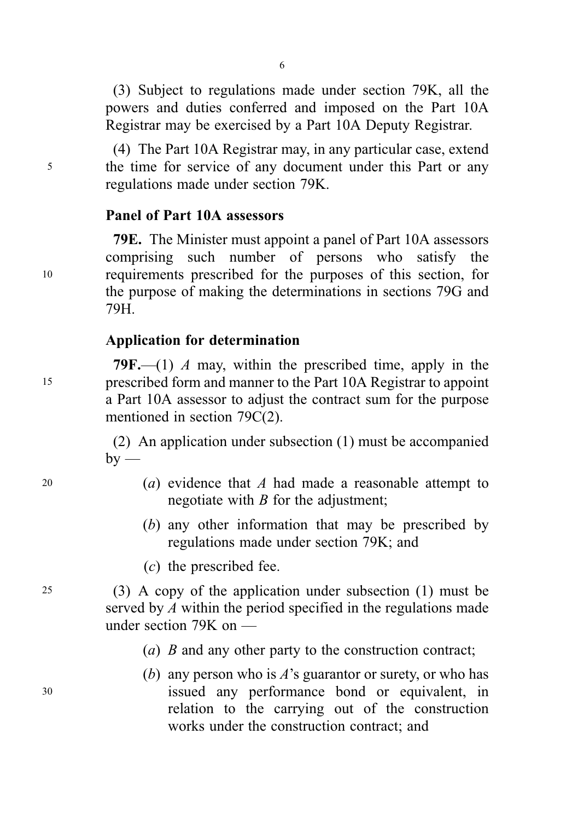(3) Subject to regulations made under section 79K, all the powers and duties conferred and imposed on the Part 10A Registrar may be exercised by a Part 10A Deputy Registrar.

(4) The Part 10A Registrar may, in any particular case, extend <sup>5</sup> the time for service of any document under this Part or any regulations made under section 79K.

## Panel of Part 10A assessors

79E. The Minister must appoint a panel of Part 10A assessors comprising such number of persons who satisfy the <sup>10</sup> requirements prescribed for the purposes of this section, for the purpose of making the determinations in sections 79G and 79H.

# Application for determination

79F.—(1) A may, within the prescribed time, apply in the <sup>15</sup> prescribed form and manner to the Part 10A Registrar to appoint a Part 10A assessor to adjust the contract sum for the purpose mentioned in section 79C(2).

> (2) An application under subsection (1) must be accompanied  $by -$

- 20 (a) evidence that A had made a reasonable attempt to negotiate with  $B$  for the adjustment;
	- (b) any other information that may be prescribed by regulations made under section 79K; and
	- (c) the prescribed fee.

<sup>25</sup> (3) A copy of the application under subsection (1) must be served by A within the period specified in the regulations made under section 79K on —

- (*a*) *B* and any other party to the construction contract;
- (b) any person who is  $\vec{A}$ 's guarantor or surety, or who has <sup>30</sup> issued any performance bond or equivalent, in relation to the carrying out of the construction works under the construction contract; and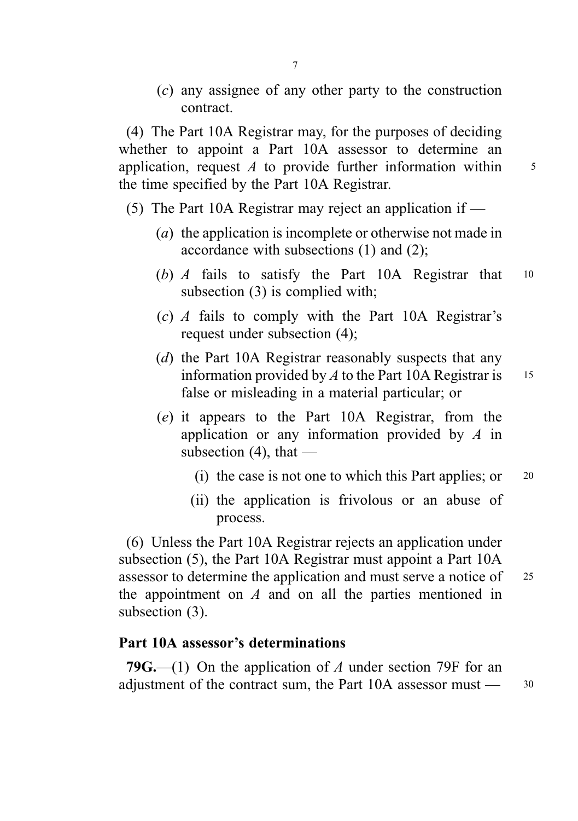(c) any assignee of any other party to the construction contract.

(4) The Part 10A Registrar may, for the purposes of deciding whether to appoint a Part 10A assessor to determine an application, request  $\Lambda$  to provide further information within  $\frac{5}{\pi}$ the time specified by the Part 10A Registrar.

- (5) The Part 10A Registrar may reject an application if
	- (a) the application is incomplete or otherwise not made in accordance with subsections (1) and (2);
	- (b) A fails to satisfy the Part 10A Registrar that <sup>10</sup> subsection (3) is complied with;
	- $(c)$  A fails to comply with the Part 10A Registrar's request under subsection (4);
	- (d) the Part 10A Registrar reasonably suspects that any information provided by  $A$  to the Part 10A Registrar is 15 false or misleading in a material particular; or
	- (e) it appears to the Part 10A Registrar, from the application or any information provided by A in subsection  $(4)$ , that —
		- (i) the case is not one to which this Part applies; or  $20$
		- (ii) the application is frivolous or an abuse of process.

(6) Unless the Part 10A Registrar rejects an application under subsection (5), the Part 10A Registrar must appoint a Part 10A assessor to determine the application and must serve a notice of <sup>25</sup> the appointment on  $A$  and on all the parties mentioned in subsection (3).

### Part 10A assessor's determinations

79G.—(1) On the application of A under section 79F for an adjustment of the contract sum, the Part 10A assessor must — 30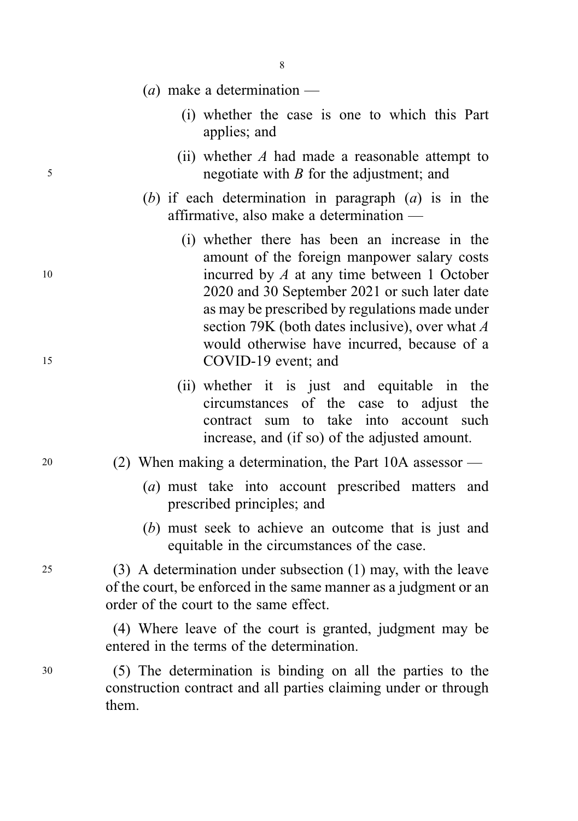- 8
- (*a*) make a determination
	- (i) whether the case is one to which this Part applies; and
- (ii) whether  $A$  had made a reasonable attempt to <sup>5</sup> negotiate with B for the adjustment; and
	- (b) if each determination in paragraph  $(a)$  is in the affirmative, also make a determination —
- (i) whether there has been an increase in the amount of the foreign manpower salary costs <sup>10</sup> incurred by A at any time between 1 October 2020 and 30 September 2021 or such later date as may be prescribed by regulations made under section 79K (both dates inclusive), over what A would otherwise have incurred, because of a <sup>15</sup> COVID-19 event; and
	- (ii) whether it is just and equitable in the circumstances of the case to adjust the contract sum to take into account such increase, and (if so) of the adjusted amount.
- <sup>20</sup> (2) When making a determination, the Part 10A assessor
	- (a) must take into account prescribed matters and prescribed principles; and
	- (b) must seek to achieve an outcome that is just and equitable in the circumstances of the case.

<sup>25</sup> (3) A determination under subsection (1) may, with the leave of the court, be enforced in the same manner as a judgment or an order of the court to the same effect.

> (4) Where leave of the court is granted, judgment may be entered in the terms of the determination.

<sup>30</sup> (5) The determination is binding on all the parties to the construction contract and all parties claiming under or through them.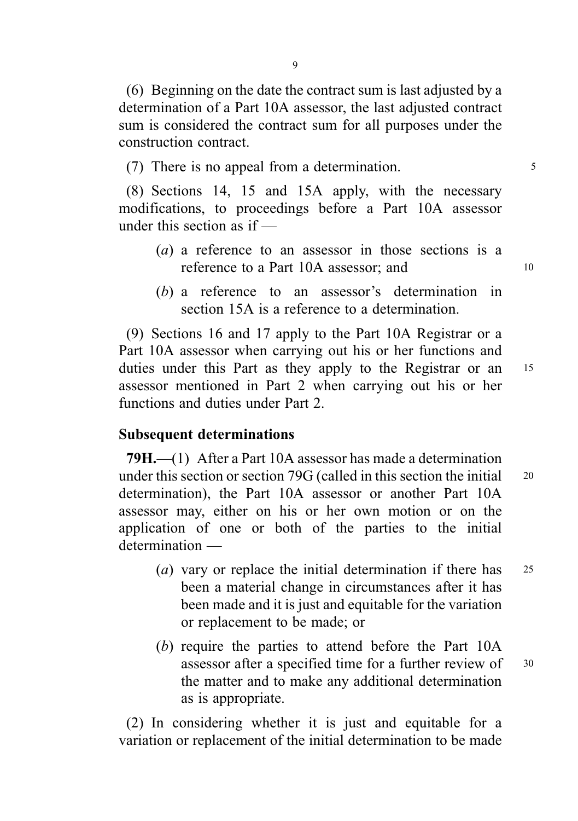(6) Beginning on the date the contract sum is last adjusted by a determination of a Part 10A assessor, the last adjusted contract sum is considered the contract sum for all purposes under the construction contract.

(7) There is no appeal from a determination.

(8) Sections 14, 15 and 15A apply, with the necessary modifications, to proceedings before a Part 10A assessor under this section as if —

- (a) a reference to an assessor in those sections is a reference to a Part 10A assessor; and 10
- (b) a reference to an assessor's determination in section 15A is a reference to a determination.

(9) Sections 16 and 17 apply to the Part 10A Registrar or a Part 10A assessor when carrying out his or her functions and duties under this Part as they apply to the Registrar or an 15 assessor mentioned in Part 2 when carrying out his or her functions and duties under Part 2.

### Subsequent determinations

79H.—(1) After a Part 10A assessor has made a determination under this section or section 79G (called in this section the initial 20 determination), the Part 10A assessor or another Part 10A assessor may, either on his or her own motion or on the application of one or both of the parties to the initial determination —

- (*a*) vary or replace the initial determination if there has 25 been a material change in circumstances after it has been made and it is just and equitable for the variation or replacement to be made; or
- (b) require the parties to attend before the Part 10A assessor after a specified time for a further review of 30 the matter and to make any additional determination as is appropriate.

(2) In considering whether it is just and equitable for a variation or replacement of the initial determination to be made

 $\overline{Q}$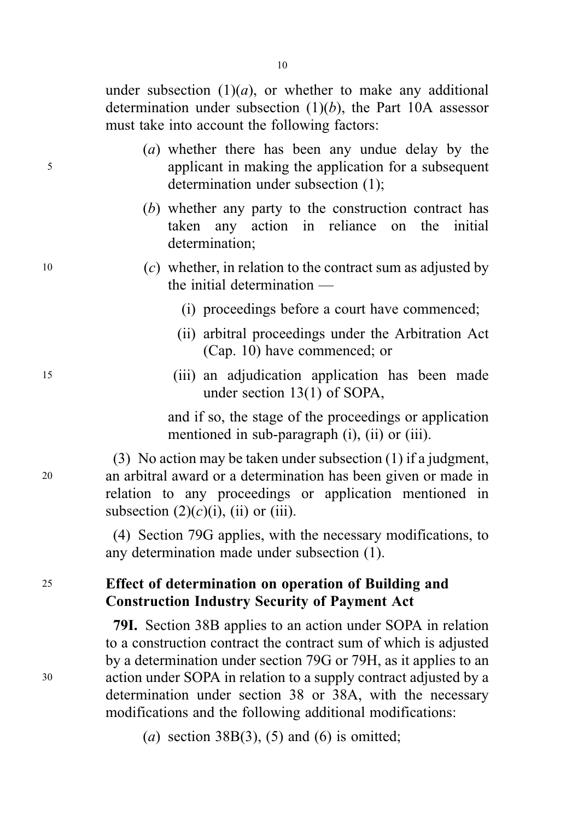under subsection  $(1)(a)$ , or whether to make any additional determination under subsection  $(1)(b)$ , the Part 10A assessor must take into account the following factors:

- (a) whether there has been any undue delay by the <sup>5</sup> applicant in making the application for a subsequent determination under subsection (1);
	- (b) whether any party to the construction contract has taken any action in reliance on the initial determination;
- 10 (c) whether, in relation to the contract sum as adjusted by the initial determination —
	- (i) proceedings before a court have commenced;
	- (ii) arbitral proceedings under the Arbitration Act (Cap. 10) have commenced; or
- <sup>15</sup> (iii) an adjudication application has been made under section 13(1) of SOPA,

and if so, the stage of the proceedings or application mentioned in sub-paragraph (i), (ii) or (iii).

(3) No action may be taken under subsection (1) if a judgment, <sup>20</sup> an arbitral award or a determination has been given or made in relation to any proceedings or application mentioned in subsection  $(2)(c)(i)$ , (ii) or (iii).

> (4) Section 79G applies, with the necessary modifications, to any determination made under subsection (1).

# <sup>25</sup> Effect of determination on operation of Building and Construction Industry Security of Payment Act

79I. Section 38B applies to an action under SOPA in relation to a construction contract the contract sum of which is adjusted by a determination under section 79G or 79H, as it applies to an <sup>30</sup> action under SOPA in relation to a supply contract adjusted by a determination under section 38 or 38A, with the necessary modifications and the following additional modifications:

(a) section  $38B(3)$ , (5) and (6) is omitted;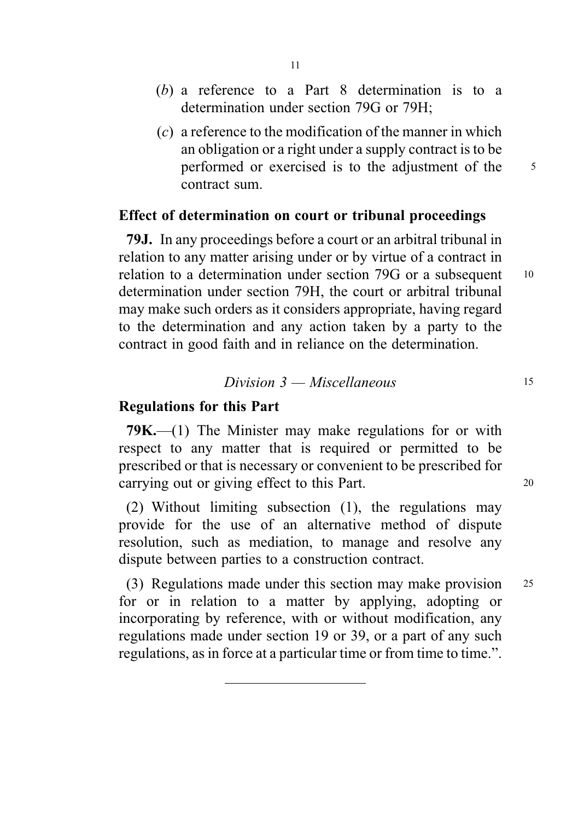- (b) a reference to a Part 8 determination is to a determination under section 79G or 79H;
- $(c)$  a reference to the modification of the manner in which an obligation or a right under a supply contract is to be performed or exercised is to the adjustment of the 5 contract sum.

### Effect of determination on court or tribunal proceedings

79J. In any proceedings before a court or an arbitral tribunal in relation to any matter arising under or by virtue of a contract in relation to a determination under section 79G or a subsequent 10 determination under section 79H, the court or arbitral tribunal may make such orders as it considers appropriate, having regard to the determination and any action taken by a party to the contract in good faith and in reliance on the determination.

$$
Division 3 - Miscellaneous
$$

### Regulations for this Part

79K.—(1) The Minister may make regulations for or with respect to any matter that is required or permitted to be prescribed or that is necessary or convenient to be prescribed for carrying out or giving effect to this Part.

(2) Without limiting subsection (1), the regulations may provide for the use of an alternative method of dispute resolution, such as mediation, to manage and resolve any dispute between parties to a construction contract.

(3) Regulations made under this section may make provision <sup>25</sup> for or in relation to a matter by applying, adopting or incorporating by reference, with or without modification, any regulations made under section 19 or 39, or a part of any such regulations, as in force at a particular time or from time to time.".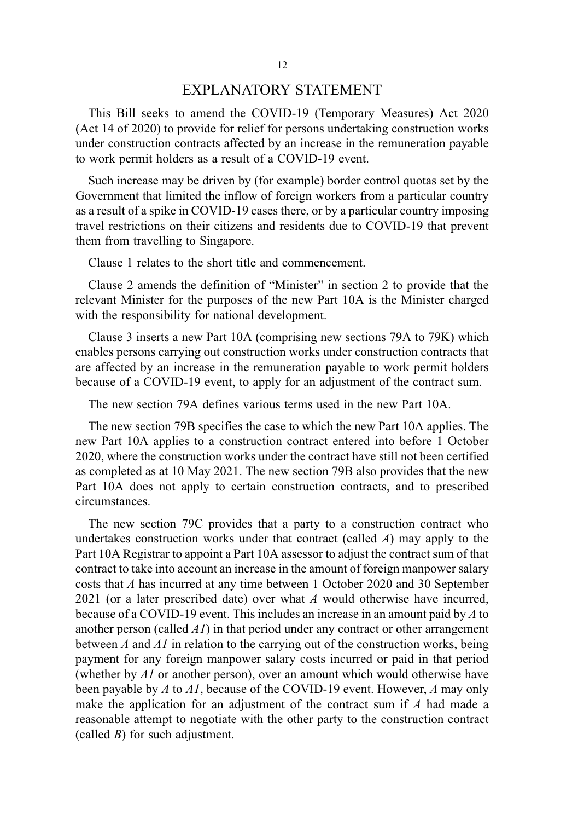### EXPLANATORY STATEMENT

This Bill seeks to amend the COVID-19 (Temporary Measures) Act 2020 (Act 14 of 2020) to provide for relief for persons undertaking construction works under construction contracts affected by an increase in the remuneration payable to work permit holders as a result of a COVID-19 event.

Such increase may be driven by (for example) border control quotas set by the Government that limited the inflow of foreign workers from a particular country as a result of a spike in COVID-19 cases there, or by a particular country imposing travel restrictions on their citizens and residents due to COVID-19 that prevent them from travelling to Singapore.

Clause 1 relates to the short title and commencement.

Clause 2 amends the definition of "Minister" in section 2 to provide that the relevant Minister for the purposes of the new Part 10A is the Minister charged with the responsibility for national development.

Clause 3 inserts a new Part 10A (comprising new sections 79A to 79K) which enables persons carrying out construction works under construction contracts that are affected by an increase in the remuneration payable to work permit holders because of a COVID-19 event, to apply for an adjustment of the contract sum.

The new section 79A defines various terms used in the new Part 10A.

The new section 79B specifies the case to which the new Part 10A applies. The new Part 10A applies to a construction contract entered into before 1 October 2020, where the construction works under the contract have still not been certified as completed as at 10 May 2021. The new section 79B also provides that the new Part 10A does not apply to certain construction contracts, and to prescribed circumstances.

The new section 79C provides that a party to a construction contract who undertakes construction works under that contract (called  $\Lambda$ ) may apply to the Part 10A Registrar to appoint a Part 10A assessor to adjust the contract sum of that contract to take into account an increase in the amount of foreign manpower salary costs that A has incurred at any time between 1 October 2020 and 30 September 2021 (or a later prescribed date) over what  $A$  would otherwise have incurred, because of a COVID-19 event. This includes an increase in an amount paid by A to another person (called  $AI$ ) in that period under any contract or other arrangement between A and A1 in relation to the carrying out of the construction works, being payment for any foreign manpower salary costs incurred or paid in that period (whether by  $AI$  or another person), over an amount which would otherwise have been payable by A to Al, because of the COVID-19 event. However, A may only make the application for an adjustment of the contract sum if A had made a reasonable attempt to negotiate with the other party to the construction contract (called  $B$ ) for such adjustment.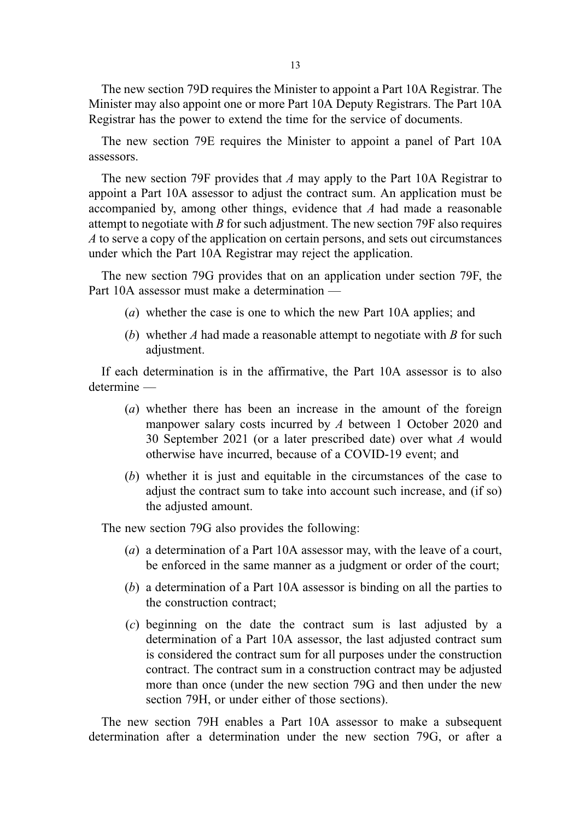13

The new section 79D requires the Minister to appoint a Part 10A Registrar. The Minister may also appoint one or more Part 10A Deputy Registrars. The Part 10A Registrar has the power to extend the time for the service of documents.

The new section 79E requires the Minister to appoint a panel of Part 10A assessors.

The new section 79F provides that A may apply to the Part 10A Registrar to appoint a Part 10A assessor to adjust the contract sum. An application must be accompanied by, among other things, evidence that A had made a reasonable attempt to negotiate with  $B$  for such adjustment. The new section 79F also requires A to serve a copy of the application on certain persons, and sets out circumstances under which the Part 10A Registrar may reject the application.

The new section 79G provides that on an application under section 79F, the Part 10A assessor must make a determination —

- (a) whether the case is one to which the new Part 10A applies; and
- (b) whether  $A$  had made a reasonable attempt to negotiate with  $B$  for such adjustment.

If each determination is in the affirmative, the Part 10A assessor is to also determine —

- (a) whether there has been an increase in the amount of the foreign manpower salary costs incurred by A between 1 October 2020 and 30 September 2021 (or a later prescribed date) over what A would otherwise have incurred, because of a COVID-19 event; and
- (b) whether it is just and equitable in the circumstances of the case to adjust the contract sum to take into account such increase, and (if so) the adjusted amount.

The new section 79G also provides the following:

- (a) a determination of a Part 10A assessor may, with the leave of a court, be enforced in the same manner as a judgment or order of the court;
- (b) a determination of a Part 10A assessor is binding on all the parties to the construction contract;
- (c) beginning on the date the contract sum is last adjusted by a determination of a Part 10A assessor, the last adjusted contract sum is considered the contract sum for all purposes under the construction contract. The contract sum in a construction contract may be adjusted more than once (under the new section 79G and then under the new section 79H, or under either of those sections).

The new section 79H enables a Part 10A assessor to make a subsequent determination after a determination under the new section 79G, or after a